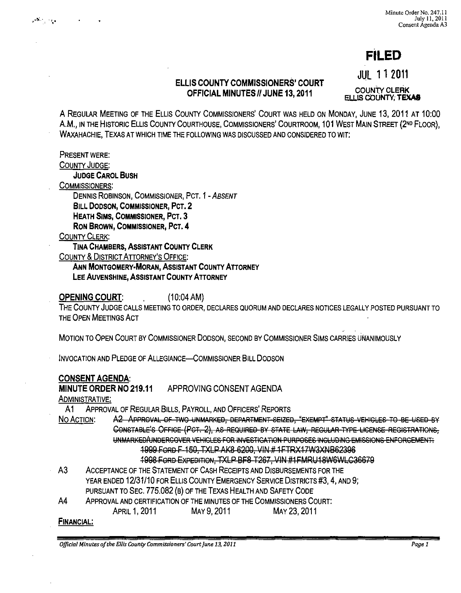# **FILED**

## ELLIS COUNTY COMMISSIONERS' COURT OFFICIAL MINUTES /I JUNE 13, 2011

JUL 11 <sup>2011</sup>

COUNTY CLERK ELLIS COUNTY; TEXAS

A REGULAR MEETING OF THE ELLIS COUNTY COMMISSIONERS' COURT WAS HELD ON MONDAY, JUNE 13, 2011 AT 10:00 A.M., IN THE HISTORIC ELLIS COUNTY COURTHOUSE, COMMISSIONERS' COURTROOM, 101 WEST MAIN STREET (2ND FLOOR), WAXAHACHIE, TEXAS AT WHICH TIME THE FOLLOWING WAS DISCUSSED AND CONSIDERED TO WIT:

PRESENT WERE:

د پر دار مکان<br>م

COUNTY JUDGE:

JUDGE CAROL BUSH

COMMISSIONERS:

DENNIS ROBINSON, COMMISSIONER, PCT. 1 - ABSENT BILL DODSON, COMMISSIONER, PCT.2

HEATH SIMS, COMMISSIONER, PCT. 3

RON BROWN, COMMISSIONER, PCT. 4

COUNTY CLERK:

TINA CHAMBERS, ASSISTANT COUNTY CLERK

COUNTY & DISTRICT ATTORNEY'S OFFICE:

ANN MONTGOMERY-MORAN, ASSISTANT COUNTY ATTORNEY

LEE AUVENSHINE, ASSISTANT COUNTY ATTORNEY

OPENING COURT: (10:04 AM)

THE COUNTY JUDGE CALLS MEETING TO ORDER, DECLARES QUORUM AND DECLARES NOTICES LEGALLY POSTED PURSUANT TO THE OPEN MEETINGS ACT

MOTION TO OPEN COURT BY COMMISSIONER DODSON, SECOND BY COMMISSIONER SIMS CARRIES UNANIMOUSLY

INVOCATION AND PLEDGE OF ALLEGIANCE-COMMISSIONER BILL DODSON

### CONSENT AGENDA:

MINUTE ORDER NO 219.11 APPROVING CONSENT AGENDA

ADMINISTRATIVE:

A1 ApPROVAL OF REGULAR BILLS, PAYROLL, AND OFFICERS' REPORTS

NO ACTION: A2 APPROVAL OF TWO UNMARKED, DEPARTMENT-SEIZED, "EXEMPT" STATUS VEHICLES TO BE USED BY CONSTABLE'S OFFICE (PCT. 2), AS REQUIRED BY STATE LAW, REGULAR TYPE LICENSE REGISTRATIONS, UNMARKED/UNDERGOVER VEHICLES FOR INVESTIGATION PURPOSES INCLUDING EMISSIONS ENFORGEMENT: 1999 FORD F-150, TXLP AK8-6200, VIN # 1 FTRX17W3XNB62396 1998 FORD EXPEDITION, TXLP BF8-T267, VIN #1 FMRU18W6WLC36679

A3 ACCEPTANCE OF THE STATEMENT OF CASH RECEIPTS AND DISBURSEMENTS FOR THE YEAR ENDED 12/31/10 FOR ELLIS COUNTY EMERGENCY SERVICE DISTRICTS #3, 4, AND 9; PURSUANT TO SEC. 775.082 (B) OF THE TEXAS HEALTH AND SAFETY CODE

A4 ApPROVAL AND CERTIFICATION OF THE MINUTES OF THE COMMISSIONERS COURT:

APRIL 1,2011 MAY 9,2011 MAY 23,2011

#### FINANCIAL:

*Official Minutes of the Ellis County Commissioners' Court June 13, 2011* Page 1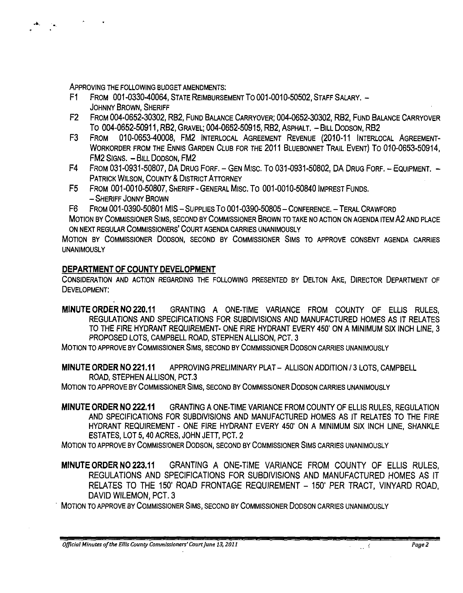ApPROVING THE FOLLOWING BUDGET AMENDMENTS:

- Fl FROM 001-0330-40064, STATE REIMBURSEMENT To 001-0010-50502, STAFF SALARY. JOHNNY BROWN, SHERIFF
- F2 FROM 004-0652-30302, RB2, FUND BALANCE CARRYOVER; 004-0652-30302, RB2, FUND BALANCE CARRYOVER To 004-0652-50911, RB2, GRAVEL; 004-0652-50915, RB2, ASPHALT. - BILL DODSON, RB2
- F3 FROM 010-0653-40008, FM2 INTERLOCAL AGREEMENT REVENUE (2010-11 INTERLOCAL AGREEMENT-WORKORDER FROM THE ENNIS GARDEN CLUB FOR THE 2011 BLUEBONNET TRAIL EVENT) To 010-0653-50914, FM2 SIGNS. - BILL DODSON, FM2
- F4 FROM 031-0931-50807, DA DRUG FORF. GEN MISC. TO 031-0931-50802, DA DRUG FORF. EQUIPMENT. -PATRICK WILSON, COUNTY & DISTRICT ATTORNEY
- F5 FROM 001-0010-50807, SHERIFF GENERAL MIsc. To 001-0010-50840 IMPREST FUNDS. - SHERIFF JONNY BROWN

F6 FROM 001-0390-50801 MIS - SUPPLIES To 001-0390-50805 - CONFERENCE. - TERAL CRAWFORD

MOTION BY COMMISSIONER SIMS, SECOND BY COMMISSIONER BROWN TO TAKE NO ACTION ON AGENDA ITEM A2 AND PLACE ON NEXT REGULAR COMMISSIONERS' COURT AGENDA CARRIES UNANIMOUSLY

MOTION BY COMMISSIONER DODSON, SECOND BY COMMISSIONER SIMS TO APPROVE CONSENT AGENDA CARRIES **UNANIMOUSLY** 

# **DEPARTMENT OF COUNTY DEVELOPMENT**

CONSIDERATION AND ACTION REGARDING THE FOLLOWING PRESENTED BY DELTON AKE, DIRECTOR DEPARTMENT OF DEVELOPMENT:

**MINUTE ORDER NO 220.11** GRANTING A ONE-TIME VARIANCE FROM COUNTY OF ELLIS RULES, REGULATIONS AND SPECIFICATIONS FOR SUBDIVISIONS AND MANUFACTURED HOMES AS IT RELATES TO THE FIRE HYDRANT REQUIREMENT- ONE FIRE HYDRANT EVERY 450' ON A MINIMUM SIX INCH LINE, 3 PROPOSED LOTS, CAMPBELL ROAD, STEPHEN ALLISON, PCT. 3

MOTION TO APPROVE BY COMMISSIONER SIMS, SECOND BY COMMISSIONER DODSON CARRIES UNANIMOUSLY

**MINUTE ORDER NO 221.11** APPROVING PRELIMINARY PLAT - ALLISON ADDITION 13 LOTS, CAMPBELL ROAD, STEPHEN ALLISON, PCT.3

MOTION TO APPROVE BY COMMISSIONER SIMS, SECOND BY COMMISSIONER DODSON CARRIES UNANIMOUSLY

**MINUTE ORDER NO 222.11** GRANTING A ONE-TIME VARIANCE FROM COUNTY OF ELLIS RULES, REGULATION AND SPECIFICATIONS FOR SUBDIVISIONS AND MANUFACTURED HOMES AS IT RELATES TO THE FIRE HYDRANT REQUIREMENT - ONE FIRE HYDRANT EVERY 450' ON A MINIMUM SIX INCH LINE, SHANKLE ESTATES, LOT 5, 40 ACRES, JOHN JETT, PCT. 2

MOTION TO APPROVE BY COMMISSIONER DODSON, SECOND BY COMMISSIONER SIMS CARRIES UNANIMOUSLY

MINUTE ORDER NO 223.11 GRANTING A ONE-TIME VARIANCE FROM COUNTY OF ELLIS RULES, REGULATIONS AND SPECIFICATIONS FOR SUBDIVISIONS AND MANUFACTURED HOMES AS IT RELATES TO THE 150' ROAD FRONTAGE REQUIREMENT - 150' PER TRACT, VINYARD ROAD, DAVID WILEMON, PCT. 3

. MOTION TO APPROVE BY COMMISSIONER SIMS, SECOND BY COMMISSIONER DODSON CARRIES UNANIMOUSLY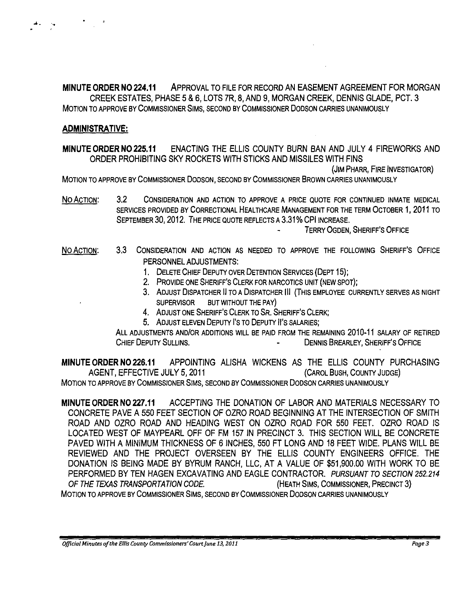MINUTE ORDER NO 224.11 ApPROVAL TO FILE FOR RECORD AN EASEMENT AGREEMENT FOR MORGAN CREEK ESTATES, PHASE 5 & 6, LOTS 7R, 8, AND 9, MORGAN CREEK, DENNIS GLADE, PCT. 3 MOTION TO APPROVE BY COMMISSIONER SIMS, SECOND BY COMMISSIONER DODSON CARRIES UNANIMOUSLY

#### ADMINISTRATIVE:

... ' ....

MINUTE ORDER NO 225.11 ENACTING THE ELLIS COUNTY BURN BAN AND JULY 4 FIREWORKS AND ORDER PROHIBITING SKY ROCKETS WITH STICKS AND MISSILES WITH FINS

(JIM PHARR, FIRE INVESTIGATOR)

MOTION TO APPROVE BY COMMISSIONER DODSON, SECOND BY COMMISSIONER BROWN CARRIES UNANIMOUSLY

No ACTION: 3.2 CONSIDERATION AND ACTION TO APPROVE A PRICE QUOTE FOR CONTINUED INMATE MEDICAL SERVICES PROVIDED BY CORRECTIONAL HEALTHCARE MANAGEMENT FOR THE TERM OCTOBER 1, 2011 TO SEPTEMBER 30, 2012. THE PRICE QUOTE REFLECTS A 3.31% CPI INCREASE.

TERRY OGDEN, SHERIFF'S OFFICE

- No ACTION: 3.3 CONSIDERATION AND ACTION AS NEEDED TO APPROVE THE FOLLOWING SHERIFF'S OFFICE PERSONNEL ADJUSTMENTS:
	- 1. DELETE CHIEF DEPUTY OVER DETENTION SERVICES (DEPT 15);
	- 2. PROVIDE ONE SHERIFF'S CLERK FOR NARCOTICS UNIT (NEW SPOT);
	- 3. ADJUST DISPATCHER II TO A DISPATCHER III (THIS EMPLOYEE CURRENTLY SERVES AS NIGHT SUPERVISOR BUT WITHOUT THE PAY)
	- 4. ADJUST ONE SHERIFF'S CLERK TO SR. SHERIFF'S CLERK;
	- 5. ADJUST ELEVEN DEPUTY I's TO DEPUTY II's SALARIES;

ALL ADJUSTMENTS AND/OR ADDITIONS WILL BE PAID FROM THE REMAINING 2010-11 SALARY OF RETIRED CHIEF DEPUTY SULLINS. CHIEF OF THE SULLING.

MINUTE ORDER NO 226.11 APPOINTING ALiSHA WICKENS AS THE ELLIS COUNTY PURCHASING AGENT, EFFECTIVE JULY 5,2011 (CAROL BUSH, COUNTY JUDGE) MOTION TO APPROVE BY COMMISSIONER SIMS, SECOND BY COMMISSIONER DODSON CARRIES UNANIMOUSLY

MINUTE ORDER NO 227.11 ACCEPTING THE DONATION OF LABOR AND MATERIALS NECESSARY TO CONCRETE PAVE A 550 FEET SECTION OF OZRO ROAD BEGINNING AT THE INTERSECTION OF SMITH ROAD AND OZRO ROAD AND HEADING WEST ON OZRO ROAD FOR 550 FEET. OZRO ROAD IS LOCATED WEST OF MAYPEARL OFF OF FM 157 IN PRECINCT 3. THIS SECTION WILL BE CONCRETE PAVED WITH A MINIMUM THICKNESS OF 6 INCHES, 550 FT LONG AND 18 FEET WIDE. PLANS WILL BE REVIEWED AND THE PROJECT OVERSEEN BY THE ELLIS COUNTY ENGINEERS OFFICE. THE DONATION IS BEING MADE BY BYRUM RANCH, LLC, AT A VALUE OF \$51,900.00 WITH WORK TO BE PERFORMED BY TEN HAGEN EXCAVATING AND EAGLE CONTRACTOR. PURSUANT TO SECTION 252.214 OF THE TEXAS TRANSPORTATION CODE. (HEATH SIMS, COMMISSIONER, PRECINCT 3) MOTION TO APPROVE BY COMMISSIONER SIMS, SECOND BY COMMISSIONER DODSON CARRIES UNANIMOUSLY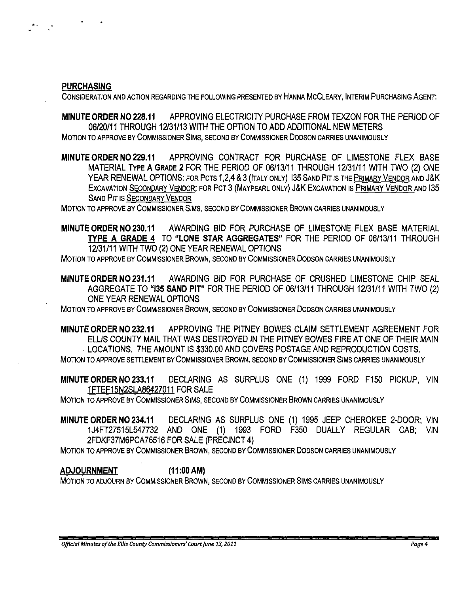PURCHASING

CONSIDERATION AND ACTION REGARDING THE FOLLOWING PRESENTED BY HANNA MCCLEARY, INTERIM PURCHASING AGENT:

MINUTE ORDER NO 228.11 APPROVING ELECTRICITY PURCHASE FROM TEXZON FOR THE PERIOD OF 06/20111 THROUGH 12131/13 WITH THE OPTION TO ADD ADDITIONAL NEW METERS MOTION TO APPROVE BY COMMISSIONER SIMS, SECOND BY COMMISSIONER DODSON CARRIES UNANIMOUSLY

MINUTE ORDER NO 229.11 APPROVING CONTRACT FOR PURCHASE OF LIMESTONE FLEX BASE MATERIAL TYPE A GRADE 2 FOR THE PERIOD OF 06/13/11 THROUGH 12/31/11 WITH TWO (2) ONE YEAR RENEWAL OPTIONS: FOR PCTS 1,2,4 & 3 (ITALY ONLY) 135 SAND PIT IS THE PRIMARY VENDOR AND J&K EXCAVATION SECONDARY VENDOR; FOR PCT 3 (MAYPEARL ONLY) J&K EXCAVATION IS PRIMARY VENDOR AND 135 SAND PIT IS SECONDARY VENDOR

MOTION TO APPROVE BY COMMISSIONER SIMS, SECOND BY COMMISSIONER BROWN CARRIES UNANIMOUSLY

MINUTE ORDER NO 230.11 AWARDING BID FOR PURCHASE OF LIMESTONE FLEX BASE MATERIAL TYPE A GRADE 4 TO "LONE STAR AGGREGATES" FOR THE PERIOD OF 06/13/11 THROUGH 12131111 WITH TWO (2) ONE YEAR RENEWAL OPTIONS

MOTION TO APPROVE BY COMMISSIONER BROWN, SECOND BY COMMISSIONER DODSON CARRIES UNANIMOUSLY

MINUTE ORDER N0231.11 AWARDING BID FOR PURCHASE OF CRUSHED LIMESTONE CHIP SEAL AGGREGATE TO "135 SAND PIT" FOR THE PERIOD OF 06/13/11 THROUGH 12131/11 WITH TWO (2) ONE YEAR RENEWAL OPTIONS

MOTION TO APPROVE BY COMMISSIONER BROWN, SECOND BY COMMISSIONER DODSON CARRIES UNANIMOUSLY

MINUTE ORDER NO 232.11 APPROVING THE PITNEY BOWES CLAIM SETTLEMENT AGREEMENT FOR ELLIS COUNTY MAIL THAT WAS DESTROYED IN THE PITNEY BOWES FIRE AT ONE OF THEIR MAIN . LOCATIONS. THE AMOUNT IS \$330.00 AND COVERS POSTAGE AND REPRODUCTION COSTS. MOTION TO APPROVE SETILEMENT BY COMMISSIONER BROWN, SECOND BY COMMISSIONER SIMS CARRIES UNANIMOUSLY

MINUTE ORDER NO 233.11 DECLARING AS SURPLUS ONE (1) 1999 FORD F150 PICKUP, VIN 1 FTEF15N2SLA86427011 FOR SALE

MOTION TO APPROVE BY COMMISSIONER SIMS, SECOND BY COMMISSIONER BROWN CARRIES UNANIMOUSLY

MINUTE ORDER NO 234.11 DECLARING AS SURPLUS ONE (1) 1995 JEEP CHEROKEE 2-DOOR; VIN 1J4FT27515L547732 AND ONE (1) 1993 FORD F350 DUALLY REGULAR CAB; VIN 2FDKF37M6PCA76516 FOR SALE (PRECINCT 4)

MOTION TO APPROVE BY COMMISSIONER BROWN, SECOND BY COMMISSIONER DODSON CARRIES UNANIMOUSLY

ADJOURNMENT (11 :00 AM)

MOTION TO ADJOURN BY COMMISSIONER BROWN, SECOND BY COMMISSIONER SIMS CARRIES UNANIMOUSLY